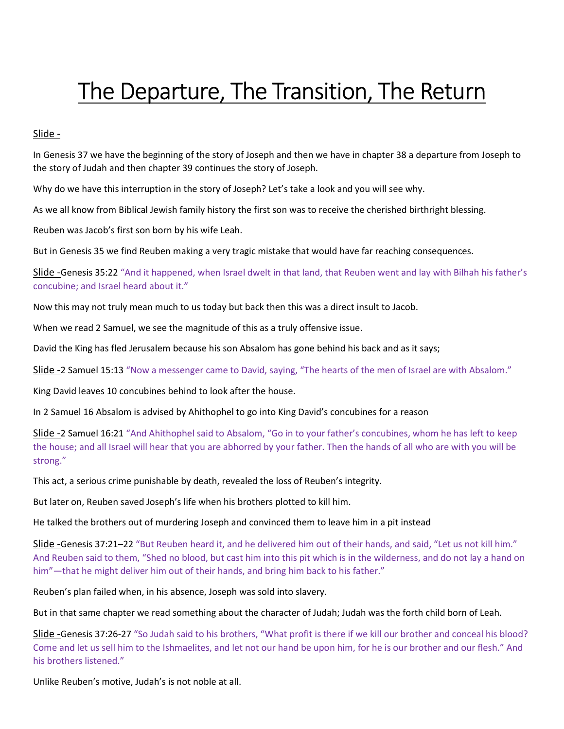# The Departure, The Transition, The Return

# Slide -

In Genesis 37 we have the beginning of the story of Joseph and then we have in chapter 38 a departure from Joseph to the story of Judah and then chapter 39 continues the story of Joseph.

Why do we have this interruption in the story of Joseph? Let's take a look and you will see why.

As we all know from Biblical Jewish family history the first son was to receive the cherished birthright blessing.

Reuben was Jacob's first son born by his wife Leah.

But in Genesis 35 we find Reuben making a very tragic mistake that would have far reaching consequences.

Slide -Genesis 35:22 "And it happened, when Israel dwelt in that land, that Reuben went and lay with Bilhah his father's concubine; and Israel heard about it."

Now this may not truly mean much to us today but back then this was a direct insult to Jacob.

When we read 2 Samuel, we see the magnitude of this as a truly offensive issue.

David the King has fled Jerusalem because his son Absalom has gone behind his back and as it says;

Slide -2 Samuel 15:13 "Now a messenger came to David, saying, "The hearts of the men of Israel are with Absalom."

King David leaves 10 concubines behind to look after the house.

In 2 Samuel 16 Absalom is advised by Ahithophel to go into King David's concubines for a reason

Slide -2 Samuel 16:21 "And Ahithophel said to Absalom, "Go in to your father's concubines, whom he has left to keep the house; and all Israel will hear that you are abhorred by your father. Then the hands of all who are with you will be strong."

This act, a serious crime punishable by death, revealed the loss of Reuben's integrity.

But later on, Reuben saved Joseph's life when his brothers plotted to kill him.

He talked the brothers out of murdering Joseph and convinced them to leave him in a pit instead

Slide -Genesis 37:21–22 "But Reuben heard it, and he delivered him out of their hands, and said, "Let us not kill him." And Reuben said to them, "Shed no blood, but cast him into this pit which is in the wilderness, and do not lay a hand on him"—that he might deliver him out of their hands, and bring him back to his father."

Reuben's plan failed when, in his absence, Joseph was sold into slavery.

But in that same chapter we read something about the character of Judah; Judah was the forth child born of Leah.

Slide -Genesis 37:26-27 "So Judah said to his brothers, "What profit is there if we kill our brother and conceal his blood? Come and let us sell him to the Ishmaelites, and let not our hand be upon him, for he is our brother and our flesh." And his brothers listened."

Unlike Reuben's motive, Judah's is not noble at all.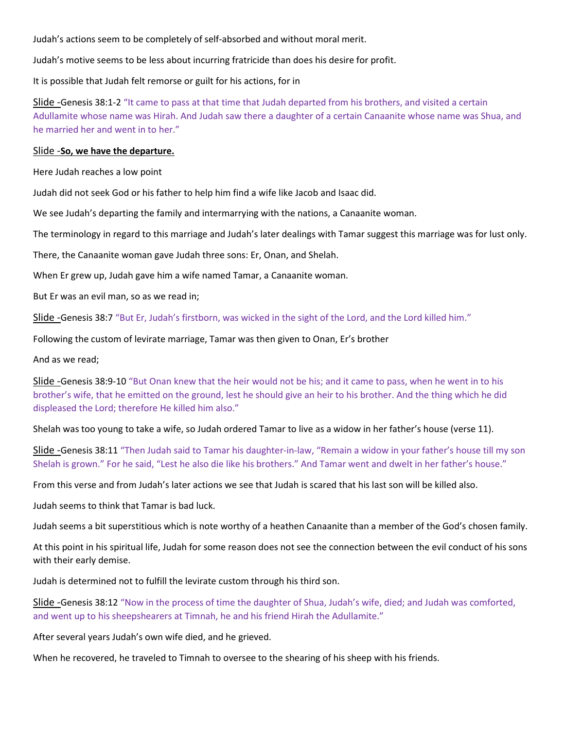Judah's actions seem to be completely of self-absorbed and without moral merit.

Judah's motive seems to be less about incurring fratricide than does his desire for profit.

It is possible that Judah felt remorse or guilt for his actions, for in

Slide -Genesis 38:1-2 "It came to pass at that time that Judah departed from his brothers, and visited a certain Adullamite whose name was Hirah. And Judah saw there a daughter of a certain Canaanite whose name was Shua, and he married her and went in to her."

# Slide -So, we have the departure.

Here Judah reaches a low point

Judah did not seek God or his father to help him find a wife like Jacob and Isaac did.

We see Judah's departing the family and intermarrying with the nations, a Canaanite woman.

The terminology in regard to this marriage and Judah's later dealings with Tamar suggest this marriage was for lust only.

There, the Canaanite woman gave Judah three sons: Er, Onan, and Shelah.

When Er grew up, Judah gave him a wife named Tamar, a Canaanite woman.

But Er was an evil man, so as we read in;

Slide -Genesis 38:7 "But Er, Judah's firstborn, was wicked in the sight of the Lord, and the Lord killed him."

Following the custom of levirate marriage, Tamar was then given to Onan, Er's brother

And as we read;

Slide -Genesis 38:9-10 "But Onan knew that the heir would not be his; and it came to pass, when he went in to his brother's wife, that he emitted on the ground, lest he should give an heir to his brother. And the thing which he did displeased the Lord; therefore He killed him also."

Shelah was too young to take a wife, so Judah ordered Tamar to live as a widow in her father's house (verse 11).

Slide -Genesis 38:11 "Then Judah said to Tamar his daughter-in-law, "Remain a widow in your father's house till my son Shelah is grown." For he said, "Lest he also die like his brothers." And Tamar went and dwelt in her father's house."

From this verse and from Judah's later actions we see that Judah is scared that his last son will be killed also.

Judah seems to think that Tamar is bad luck.

Judah seems a bit superstitious which is note worthy of a heathen Canaanite than a member of the God's chosen family.

At this point in his spiritual life, Judah for some reason does not see the connection between the evil conduct of his sons with their early demise.

Judah is determined not to fulfill the levirate custom through his third son.

Slide -Genesis 38:12 "Now in the process of time the daughter of Shua, Judah's wife, died; and Judah was comforted, and went up to his sheepshearers at Timnah, he and his friend Hirah the Adullamite."

After several years Judah's own wife died, and he grieved.

When he recovered, he traveled to Timnah to oversee to the shearing of his sheep with his friends.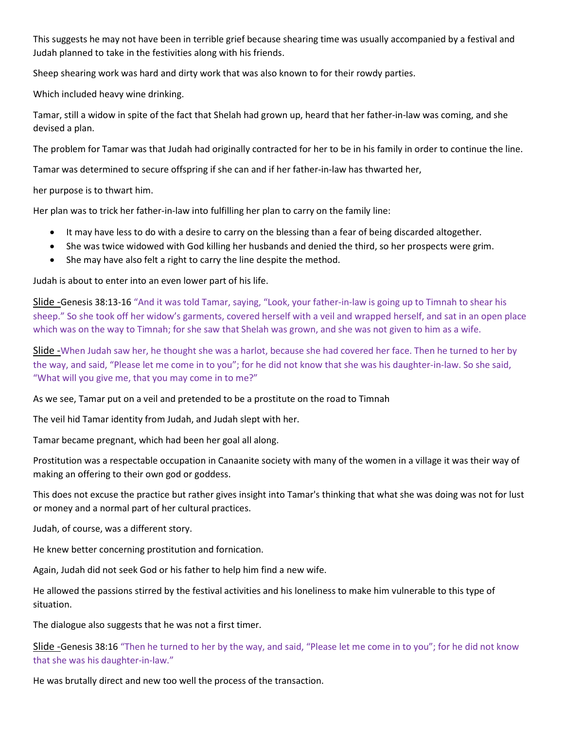This suggests he may not have been in terrible grief because shearing time was usually accompanied by a festival and Judah planned to take in the festivities along with his friends.

Sheep shearing work was hard and dirty work that was also known to for their rowdy parties.

Which included heavy wine drinking.

Tamar, still a widow in spite of the fact that Shelah had grown up, heard that her father-in-law was coming, and she devised a plan.

The problem for Tamar was that Judah had originally contracted for her to be in his family in order to continue the line.

Tamar was determined to secure offspring if she can and if her father-in-law has thwarted her,

her purpose is to thwart him.

Her plan was to trick her father-in-law into fulfilling her plan to carry on the family line:

- It may have less to do with a desire to carry on the blessing than a fear of being discarded altogether.
- She was twice widowed with God killing her husbands and denied the third, so her prospects were grim.
- She may have also felt a right to carry the line despite the method.

Judah is about to enter into an even lower part of his life.

Slide -Genesis 38:13-16 "And it was told Tamar, saying, "Look, your father-in-law is going up to Timnah to shear his sheep." So she took off her widow's garments, covered herself with a veil and wrapped herself, and sat in an open place which was on the way to Timnah; for she saw that Shelah was grown, and she was not given to him as a wife.

Slide -When Judah saw her, he thought she was a harlot, because she had covered her face. Then he turned to her by the way, and said, "Please let me come in to you"; for he did not know that she was his daughter-in-law. So she said, "What will you give me, that you may come in to me?"

As we see, Tamar put on a veil and pretended to be a prostitute on the road to Timnah

The veil hid Tamar identity from Judah, and Judah slept with her.

Tamar became pregnant, which had been her goal all along.

Prostitution was a respectable occupation in Canaanite society with many of the women in a village it was their way of making an offering to their own god or goddess.

This does not excuse the practice but rather gives insight into Tamar's thinking that what she was doing was not for lust or money and a normal part of her cultural practices.

Judah, of course, was a different story.

He knew better concerning prostitution and fornication.

Again, Judah did not seek God or his father to help him find a new wife.

He allowed the passions stirred by the festival activities and his loneliness to make him vulnerable to this type of situation.

The dialogue also suggests that he was not a first timer.

Slide -Genesis 38:16 "Then he turned to her by the way, and said, "Please let me come in to you"; for he did not know that she was his daughter-in-law."

He was brutally direct and new too well the process of the transaction.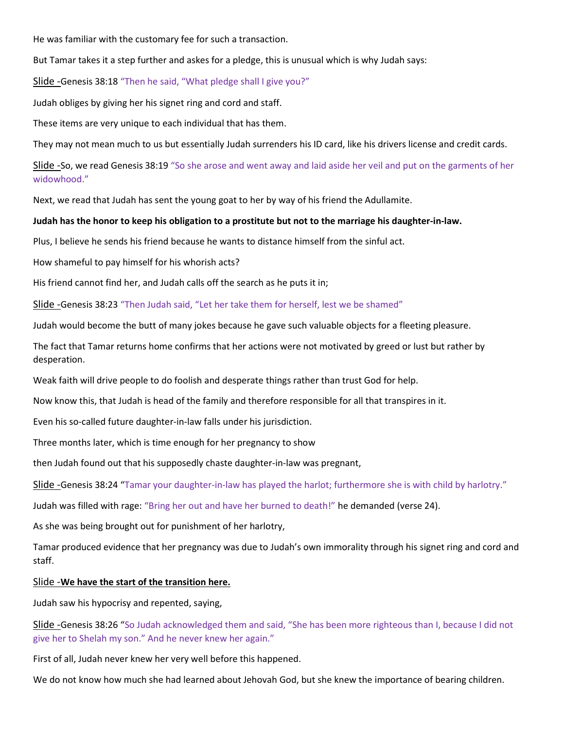He was familiar with the customary fee for such a transaction.

But Tamar takes it a step further and askes for a pledge, this is unusual which is why Judah says:

Slide -Genesis 38:18 "Then he said, "What pledge shall I give you?"

Judah obliges by giving her his signet ring and cord and staff.

These items are very unique to each individual that has them.

They may not mean much to us but essentially Judah surrenders his ID card, like his drivers license and credit cards.

Slide -So, we read Genesis 38:19 "So she arose and went away and laid aside her veil and put on the garments of her widowhood."

Next, we read that Judah has sent the young goat to her by way of his friend the Adullamite.

#### Judah has the honor to keep his obligation to a prostitute but not to the marriage his daughter-in-law.

Plus, I believe he sends his friend because he wants to distance himself from the sinful act.

How shameful to pay himself for his whorish acts?

His friend cannot find her, and Judah calls off the search as he puts it in;

Slide -Genesis 38:23 "Then Judah said, "Let her take them for herself, lest we be shamed"

Judah would become the butt of many jokes because he gave such valuable objects for a fleeting pleasure.

The fact that Tamar returns home confirms that her actions were not motivated by greed or lust but rather by desperation.

Weak faith will drive people to do foolish and desperate things rather than trust God for help.

Now know this, that Judah is head of the family and therefore responsible for all that transpires in it.

Even his so-called future daughter-in-law falls under his jurisdiction.

Three months later, which is time enough for her pregnancy to show

then Judah found out that his supposedly chaste daughter-in-law was pregnant,

Slide -Genesis 38:24 "Tamar your daughter-in-law has played the harlot; furthermore she is with child by harlotry."

Judah was filled with rage: "Bring her out and have her burned to death!" he demanded (verse 24).

As she was being brought out for punishment of her harlotry,

Tamar produced evidence that her pregnancy was due to Judah's own immorality through his signet ring and cord and staff.

#### Slide - We have the start of the transition here.

Judah saw his hypocrisy and repented, saying,

Slide -Genesis 38:26 "So Judah acknowledged them and said, "She has been more righteous than I, because I did not give her to Shelah my son." And he never knew her again."

First of all, Judah never knew her very well before this happened.

We do not know how much she had learned about Jehovah God, but she knew the importance of bearing children.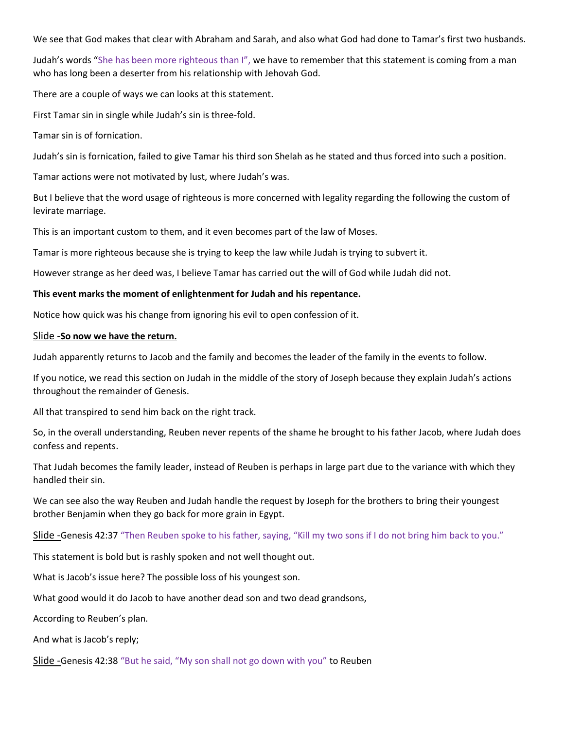We see that God makes that clear with Abraham and Sarah, and also what God had done to Tamar's first two husbands.

Judah's words "She has been more righteous than I", we have to remember that this statement is coming from a man who has long been a deserter from his relationship with Jehovah God.

There are a couple of ways we can looks at this statement.

First Tamar sin in single while Judah's sin is three-fold.

Tamar sin is of fornication.

Judah's sin is fornication, failed to give Tamar his third son Shelah as he stated and thus forced into such a position.

Tamar actions were not motivated by lust, where Judah's was.

But I believe that the word usage of righteous is more concerned with legality regarding the following the custom of levirate marriage.

This is an important custom to them, and it even becomes part of the law of Moses.

Tamar is more righteous because she is trying to keep the law while Judah is trying to subvert it.

However strange as her deed was, I believe Tamar has carried out the will of God while Judah did not.

#### This event marks the moment of enlightenment for Judah and his repentance.

Notice how quick was his change from ignoring his evil to open confession of it.

### Slide -So now we have the return.

Judah apparently returns to Jacob and the family and becomes the leader of the family in the events to follow.

If you notice, we read this section on Judah in the middle of the story of Joseph because they explain Judah's actions throughout the remainder of Genesis.

All that transpired to send him back on the right track.

So, in the overall understanding, Reuben never repents of the shame he brought to his father Jacob, where Judah does confess and repents.

That Judah becomes the family leader, instead of Reuben is perhaps in large part due to the variance with which they handled their sin.

We can see also the way Reuben and Judah handle the request by Joseph for the brothers to bring their youngest brother Benjamin when they go back for more grain in Egypt.

Slide -Genesis 42:37 "Then Reuben spoke to his father, saying, "Kill my two sons if I do not bring him back to you."

This statement is bold but is rashly spoken and not well thought out.

What is Jacob's issue here? The possible loss of his youngest son.

What good would it do Jacob to have another dead son and two dead grandsons,

According to Reuben's plan.

And what is Jacob's reply;

Slide -Genesis 42:38 "But he said, "My son shall not go down with you" to Reuben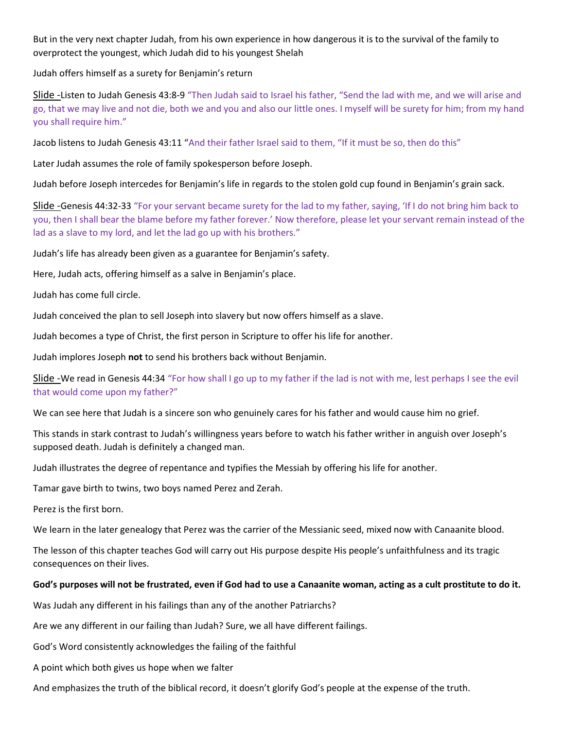But in the very next chapter Judah, from his own experience in how dangerous it is to the survival of the family to overprotect the youngest, which Judah did to his youngest Shelah

Judah offers himself as a surety for Benjamin's return

Slide -Listen to Judah Genesis 43:8-9 "Then Judah said to Israel his father, "Send the lad with me, and we will arise and go, that we may live and not die, both we and you and also our little ones. I myself will be surety for him; from my hand you shall require him."

Jacob listens to Judah Genesis 43:11 "And their father Israel said to them, "If it must be so, then do this"

Later Judah assumes the role of family spokesperson before Joseph.

Judah before Joseph intercedes for Benjamin's life in regards to the stolen gold cup found in Benjamin's grain sack.

Slide -Genesis 44:32-33 "For your servant became surety for the lad to my father, saying, 'If I do not bring him back to you, then I shall bear the blame before my father forever.' Now therefore, please let your servant remain instead of the lad as a slave to my lord, and let the lad go up with his brothers."

Judah's life has already been given as a guarantee for Benjamin's safety.

Here, Judah acts, offering himself as a salve in Benjamin's place.

Judah has come full circle.

Judah conceived the plan to sell Joseph into slavery but now offers himself as a slave.

Judah becomes a type of Christ, the first person in Scripture to offer his life for another.

Judah implores Joseph not to send his brothers back without Benjamin.

Slide -We read in Genesis 44:34 "For how shall I go up to my father if the lad is not with me, lest perhaps I see the evil that would come upon my father?"

We can see here that Judah is a sincere son who genuinely cares for his father and would cause him no grief.

This stands in stark contrast to Judah's willingness years before to watch his father writher in anguish over Joseph's supposed death. Judah is definitely a changed man.

Judah illustrates the degree of repentance and typifies the Messiah by offering his life for another.

Tamar gave birth to twins, two boys named Perez and Zerah.

Perez is the first born.

We learn in the later genealogy that Perez was the carrier of the Messianic seed, mixed now with Canaanite blood.

The lesson of this chapter teaches God will carry out His purpose despite His people's unfaithfulness and its tragic consequences on their lives.

#### God's purposes will not be frustrated, even if God had to use a Canaanite woman, acting as a cult prostitute to do it.

Was Judah any different in his failings than any of the another Patriarchs?

Are we any different in our failing than Judah? Sure, we all have different failings.

God's Word consistently acknowledges the failing of the faithful

A point which both gives us hope when we falter

And emphasizes the truth of the biblical record, it doesn't glorify God's people at the expense of the truth.